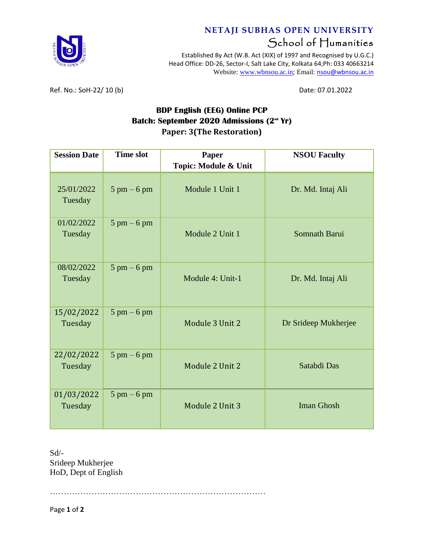

## **NETAJI SUBHAS OPEN UNIVERSITY** School of Humanities

Established By Act (W.B. Act (XIX) of 1997 and Recognised by U.G.C.) Head Office: DD-26, Sector-I, Salt Lake City, Kolkata 64;Ph: 033 40663214 Website: [www.wbnsou.ac.in;](http://www.wbnsou.ac.in/) Email: [nsou@wbnsou.ac.in](mailto:nsou@wbnsou.ac.in)

Ref. No.: SoH-22/ 10 (b) Date: 07.01.2022

## **BDP English (EEG) Online PCP Batch: September 2020 Admissions (2 nd Yr) Paper: 3(The Restoration)**

| <b>Session Date</b>   | <b>Time slot</b>              | Paper<br>Topic: Module & Unit | <b>NSOU Faculty</b>  |
|-----------------------|-------------------------------|-------------------------------|----------------------|
| 25/01/2022<br>Tuesday | $5 \text{ pm} - 6 \text{ pm}$ | Module 1 Unit 1               | Dr. Md. Intaj Ali    |
| 01/02/2022<br>Tuesday | $5 \text{ pm} - 6 \text{ pm}$ | Module 2 Unit 1               | Somnath Barui        |
| 08/02/2022<br>Tuesday | $5 \text{ pm} - 6 \text{ pm}$ | Module 4: Unit-1              | Dr. Md. Intaj Ali    |
| 15/02/2022<br>Tuesday | $5 \text{ pm} - 6 \text{ pm}$ | Module 3 Unit 2               | Dr Srideep Mukherjee |
| 22/02/2022<br>Tuesday | $5 \text{ pm} - 6 \text{ pm}$ | Module 2 Unit 2               | Satabdi Das          |
| 01/03/2022<br>Tuesday | $5 \text{ pm} - 6 \text{ pm}$ | Module 2 Unit 3               | <b>Iman Ghosh</b>    |

Sd/- Srideep Mukherjee HoD, Dept of English

……………………………………………………………………